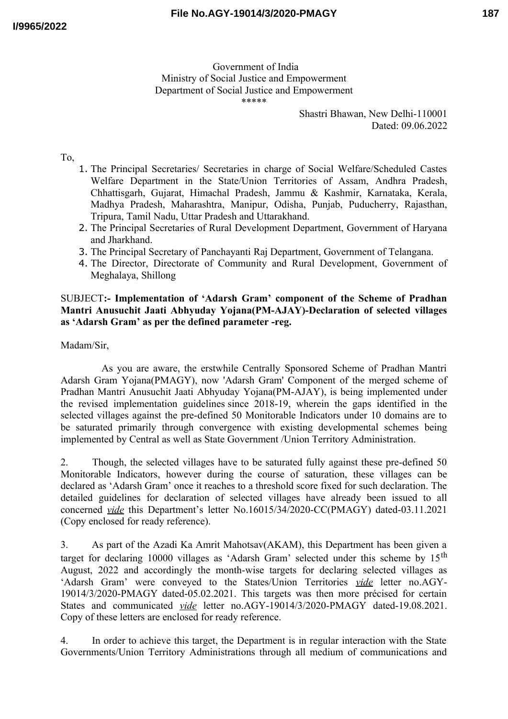Government of India Ministry of Social Justice and Empowerment Department of Social Justice and Empowerment \*\*\*\*\*

> Shastri Bhawan, New Delhi-110001 Dated: 09.06.2022

To,

- 1. The Principal Secretaries/ Secretaries in charge of Social Welfare/Scheduled Castes Welfare Department in the State/Union Territories of Assam, Andhra Pradesh, Chhattisgarh, Gujarat, Himachal Pradesh, Jammu & Kashmir, Karnataka, Kerala, Madhya Pradesh, Maharashtra, Manipur, Odisha, Punjab, Puducherry, Rajasthan, Tripura, Tamil Nadu, Uttar Pradesh and Uttarakhand.
- 2. The Principal Secretaries of Rural Development Department, Government of Haryana and Jharkhand.
- 3. The Principal Secretary of Panchayanti Raj Department, Government of Telangana.
- 4. The Director, Directorate of Community and Rural Development, Government of Meghalaya, Shillong

## SUBJECT**:- Implementation of 'Adarsh Gram' component of the Scheme of Pradhan Mantri Anusuchit Jaati Abhyuday Yojana(PM-AJAY)-Declaration of selected villages as 'Adarsh Gram' as per the defined parameter -reg.**

Madam/Sir,

As you are aware, the erstwhile Centrally Sponsored Scheme of Pradhan Mantri Adarsh Gram Yojana(PMAGY), now 'Adarsh Gram' Component of the merged scheme of Pradhan Mantri Anusuchit Jaati Abhyuday Yojana(PM-AJAY), is being implemented under the revised implementation guidelines since 2018-19, wherein the gaps identified in the selected villages against the pre-defined 50 Monitorable Indicators under 10 domains are to be saturated primarily through convergence with existing developmental schemes being implemented by Central as well as State Government /Union Territory Administration.

2. Though, the selected villages have to be saturated fully against these pre-defined 50 Monitorable Indicators, however during the course of saturation, these villages can be declared as 'Adarsh Gram' once it reaches to a threshold score fixed for such declaration. The detailed guidelines for declaration of selected villages have already been issued to all concerned *vide* this Department's letter No.16015/34/2020-CC(PMAGY) dated-03.11.2021 (Copy enclosed for ready reference).

3. As part of the Azadi Ka Amrit Mahotsav(AKAM), this Department has been given a target for declaring 10000 villages as 'Adarsh Gram' selected under this scheme by  $15<sup>th</sup>$ August, 2022 and accordingly the month-wise targets for declaring selected villages as 'Adarsh Gram' were conveyed to the States/Union Territories *vide* letter no.AGY-19014/3/2020-PMAGY dated-05.02.2021. This targets was then more précised for certain States and communicated *vide* letter no.AGY-19014/3/2020-PMAGY dated-19.08.2021. Copy of these letters are enclosed for ready reference.

4. In order to achieve this target, the Department is in regular interaction with the State Governments/Union Territory Administrations through all medium of communications and